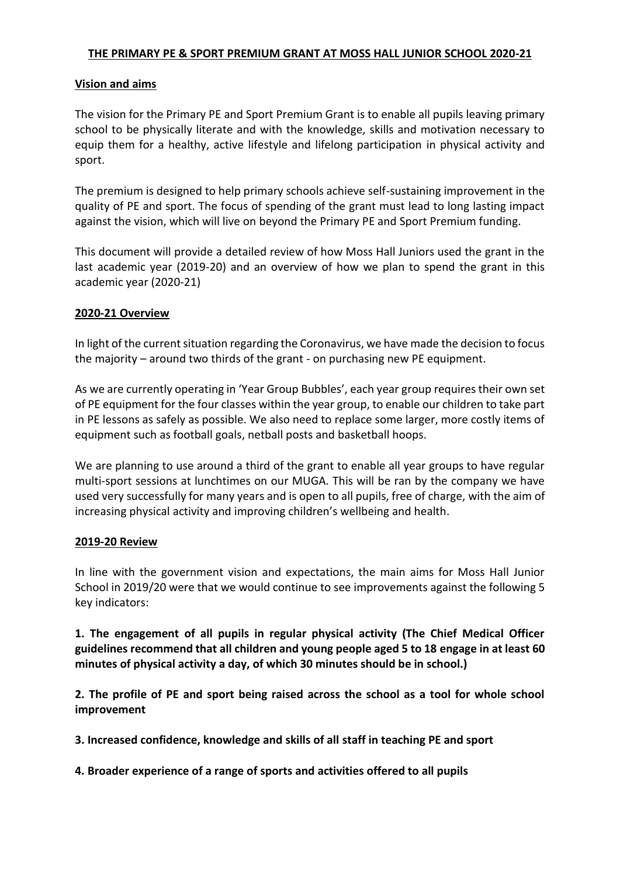### **THE PRIMARY PE & SPORT PREMIUM GRANT AT MOSS HALL JUNIOR SCHOOL 2020-21**

### **Vision and aims**

The vision for the Primary PE and Sport Premium Grant is to enable all pupils leaving primary school to be physically literate and with the knowledge, skills and motivation necessary to equip them for a healthy, active lifestyle and lifelong participation in physical activity and sport.

The premium is designed to help primary schools achieve self-sustaining improvement in the quality of PE and sport. The focus of spending of the grant must lead to long lasting impact against the vision, which will live on beyond the Primary PE and Sport Premium funding.

This document will provide a detailed review of how Moss Hall Juniors used the grant in the last academic year (2019-20) and an overview of how we plan to spend the grant in this academic year (2020-21)

### **2020-21 Overview**

In light of the current situation regarding the Coronavirus, we have made the decision to focus the majority – around two thirds of the grant - on purchasing new PE equipment.

As we are currently operating in 'Year Group Bubbles', each year group requires their own set of PE equipment for the four classes within the year group, to enable our children to take part in PE lessons as safely as possible. We also need to replace some larger, more costly items of equipment such as football goals, netball posts and basketball hoops.

We are planning to use around a third of the grant to enable all year groups to have regular multi-sport sessions at lunchtimes on our MUGA. This will be ran by the company we have used very successfully for many years and is open to all pupils, free of charge, with the aim of increasing physical activity and improving children's wellbeing and health.

### **2019-20 Review**

In line with the government vision and expectations, the main aims for Moss Hall Junior School in 2019/20 were that we would continue to see improvements against the following 5 key indicators:

**1. The engagement of all pupils in regular physical activity (The Chief Medical Officer guidelines recommend that all children and young people aged 5 to 18 engage in at least 60 minutes of physical activity a day, of which 30 minutes should be in school.)**

**2. The profile of PE and sport being raised across the school as a tool for whole school improvement** 

**3. Increased confidence, knowledge and skills of all staff in teaching PE and sport**

**4. Broader experience of a range of sports and activities offered to all pupils**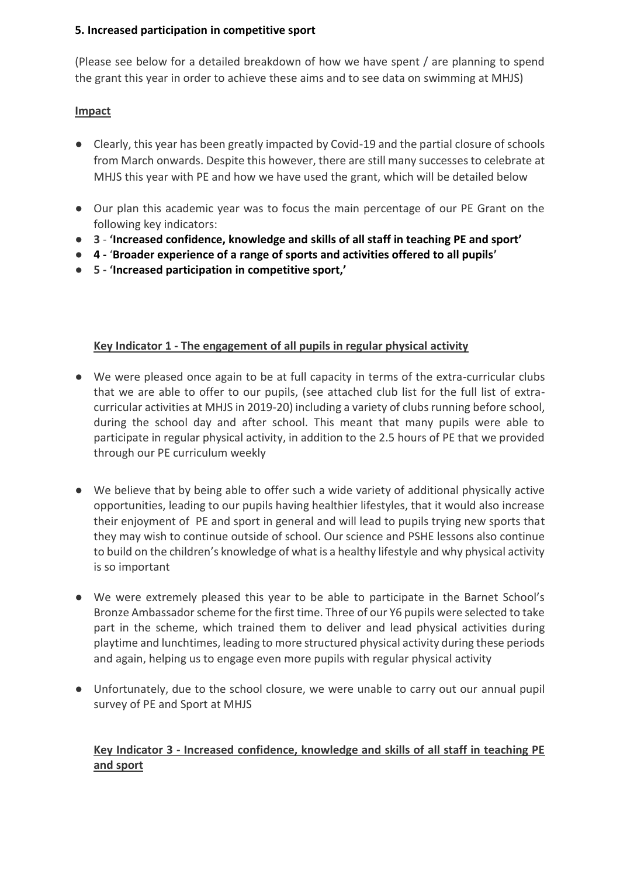# **5. Increased participation in competitive sport**

(Please see below for a detailed breakdown of how we have spent / are planning to spend the grant this year in order to achieve these aims and to see data on swimming at MHJS)

# **Impact**

- Clearly, this year has been greatly impacted by Covid-19 and the partial closure of schools from March onwards. Despite this however, there are still many successes to celebrate at MHJS this year with PE and how we have used the grant, which will be detailed below
- Our plan this academic year was to focus the main percentage of our PE Grant on the following key indicators:
- **3 'Increased confidence, knowledge and skills of all staff in teaching PE and sport'**
- **4 -** '**Broader experience of a range of sports and activities offered to all pupils'**
- **5 - 'Increased participation in competitive sport,'**

# **Key Indicator 1 - The engagement of all pupils in regular physical activity**

- We were pleased once again to be at full capacity in terms of the extra-curricular clubs that we are able to offer to our pupils, (see attached club list for the full list of extracurricular activities at MHJS in 2019-20) including a variety of clubs running before school, during the school day and after school. This meant that many pupils were able to participate in regular physical activity, in addition to the 2.5 hours of PE that we provided through our PE curriculum weekly
- We believe that by being able to offer such a wide variety of additional physically active opportunities, leading to our pupils having healthier lifestyles, that it would also increase their enjoyment of PE and sport in general and will lead to pupils trying new sports that they may wish to continue outside of school. Our science and PSHE lessons also continue to build on the children's knowledge of what is a healthy lifestyle and why physical activity is so important
- We were extremely pleased this year to be able to participate in the Barnet School's Bronze Ambassador scheme for the first time. Three of our Y6 pupils were selected to take part in the scheme, which trained them to deliver and lead physical activities during playtime and lunchtimes, leading to more structured physical activity during these periods and again, helping us to engage even more pupils with regular physical activity
- Unfortunately, due to the school closure, we were unable to carry out our annual pupil survey of PE and Sport at MHJS

# **Key Indicator 3 - Increased confidence, knowledge and skills of all staff in teaching PE and sport**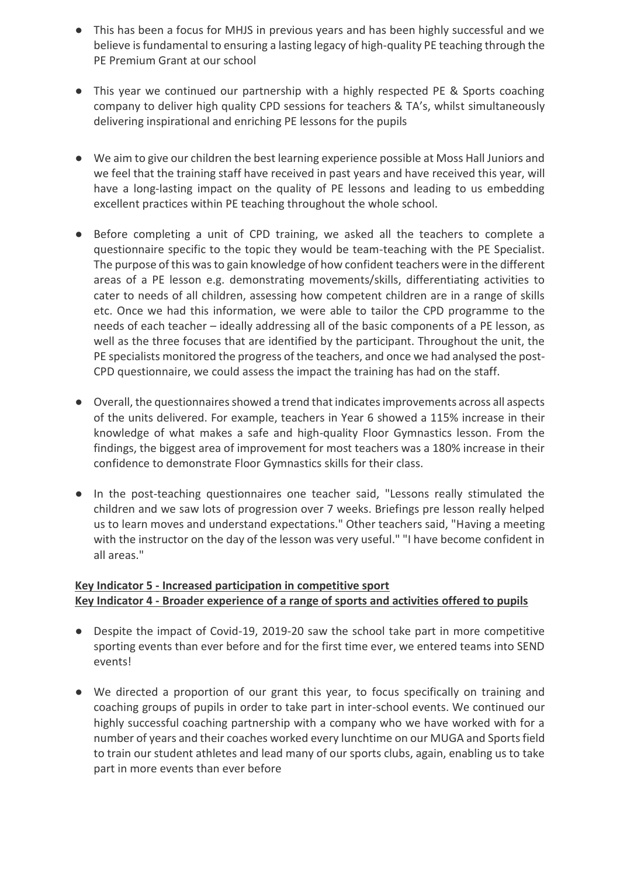- This has been a focus for MHJS in previous years and has been highly successful and we believe is fundamental to ensuring a lasting legacy of high-quality PE teaching through the PE Premium Grant at our school
- This year we continued our partnership with a highly respected PE & Sports coaching company to deliver high quality CPD sessions for teachers & TA's, whilst simultaneously delivering inspirational and enriching PE lessons for the pupils
- We aim to give our children the best learning experience possible at Moss Hall Juniors and we feel that the training staff have received in past years and have received this year, will have a long-lasting impact on the quality of PE lessons and leading to us embedding excellent practices within PE teaching throughout the whole school.
- Before completing a unit of CPD training, we asked all the teachers to complete a questionnaire specific to the topic they would be team-teaching with the PE Specialist. The purpose of this was to gain knowledge of how confident teachers were in the different areas of a PE lesson e.g. demonstrating movements/skills, differentiating activities to cater to needs of all children, assessing how competent children are in a range of skills etc. Once we had this information, we were able to tailor the CPD programme to the needs of each teacher – ideally addressing all of the basic components of a PE lesson, as well as the three focuses that are identified by the participant. Throughout the unit, the PE specialists monitored the progress of the teachers, and once we had analysed the post-CPD questionnaire, we could assess the impact the training has had on the staff.
- Overall, the questionnaires showed a trend that indicates improvements across all aspects of the units delivered. For example, teachers in Year 6 showed a 115% increase in their knowledge of what makes a safe and high-quality Floor Gymnastics lesson. From the findings, the biggest area of improvement for most teachers was a 180% increase in their confidence to demonstrate Floor Gymnastics skills for their class.
- In the post-teaching questionnaires one teacher said, "Lessons really stimulated the children and we saw lots of progression over 7 weeks. Briefings pre lesson really helped us to learn moves and understand expectations." Other teachers said, "Having a meeting with the instructor on the day of the lesson was very useful." "I have become confident in all areas."

# **Key Indicator 5 - Increased participation in competitive sport Key Indicator 4 - Broader experience of a range of sports and activities offered to pupils**

- Despite the impact of Covid-19, 2019-20 saw the school take part in more competitive sporting events than ever before and for the first time ever, we entered teams into SEND events!
- We directed a proportion of our grant this year, to focus specifically on training and coaching groups of pupils in order to take part in inter-school events. We continued our highly successful coaching partnership with a company who we have worked with for a number of years and their coaches worked every lunchtime on our MUGA and Sports field to train our student athletes and lead many of our sports clubs, again, enabling us to take part in more events than ever before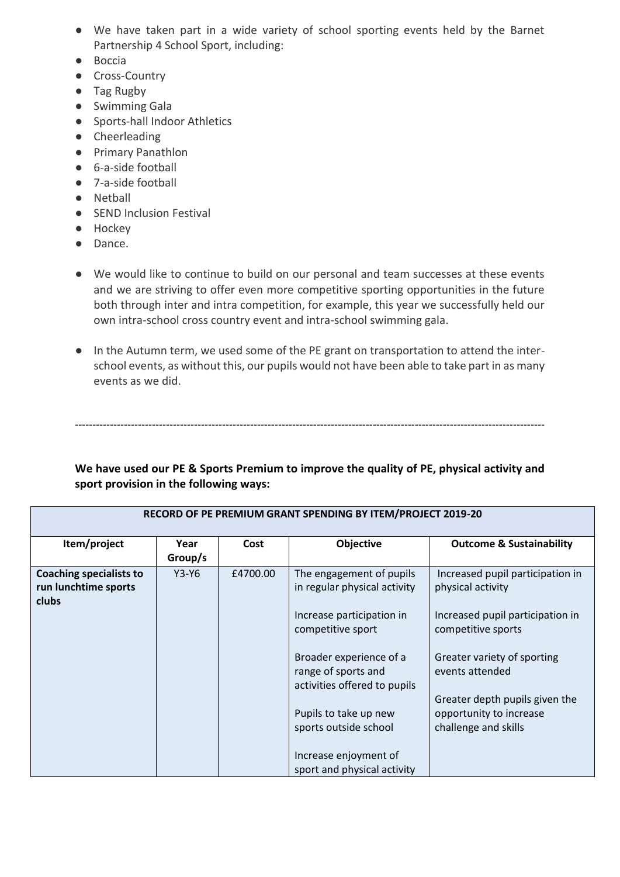- We have taken part in a wide variety of school sporting events held by the Barnet Partnership 4 School Sport, including:
- Boccia
- Cross-Country
- Tag Rugby
- Swimming Gala
- Sports-hall Indoor Athletics
- Cheerleading
- Primary Panathlon
- 6-a-side football
- 7-a-side football
- Netball
- SEND Inclusion Festival
- Hockey
- Dance.
- We would like to continue to build on our personal and team successes at these events and we are striving to offer even more competitive sporting opportunities in the future both through inter and intra competition, for example, this year we successfully held our own intra-school cross country event and intra-school swimming gala.
- In the Autumn term, we used some of the PE grant on transportation to attend the interschool events, as without this, our pupils would not have been able to take part in as many events as we did.

# **We have used our PE & Sports Premium to improve the quality of PE, physical activity and sport provision in the following ways:**

--------------------------------------------------------------------------------------------------------------------------------------

| Item/project                                                    | Year<br>Group/s | Cost     | <b>Objective</b>                                                               | <b>Outcome &amp; Sustainability</b>                                               |
|-----------------------------------------------------------------|-----------------|----------|--------------------------------------------------------------------------------|-----------------------------------------------------------------------------------|
| <b>Coaching specialists to</b><br>run lunchtime sports<br>clubs | $Y3-Y6$         | £4700.00 | The engagement of pupils<br>in regular physical activity                       | Increased pupil participation in<br>physical activity                             |
|                                                                 |                 |          | Increase participation in<br>competitive sport                                 | Increased pupil participation in<br>competitive sports                            |
|                                                                 |                 |          | Broader experience of a<br>range of sports and<br>activities offered to pupils | Greater variety of sporting<br>events attended                                    |
|                                                                 |                 |          | Pupils to take up new<br>sports outside school                                 | Greater depth pupils given the<br>opportunity to increase<br>challenge and skills |
|                                                                 |                 |          | Increase enjoyment of<br>sport and physical activity                           |                                                                                   |

#### **RECORD OF PE PREMIUM GRANT SPENDING BY ITEM/PROJECT 2019-20**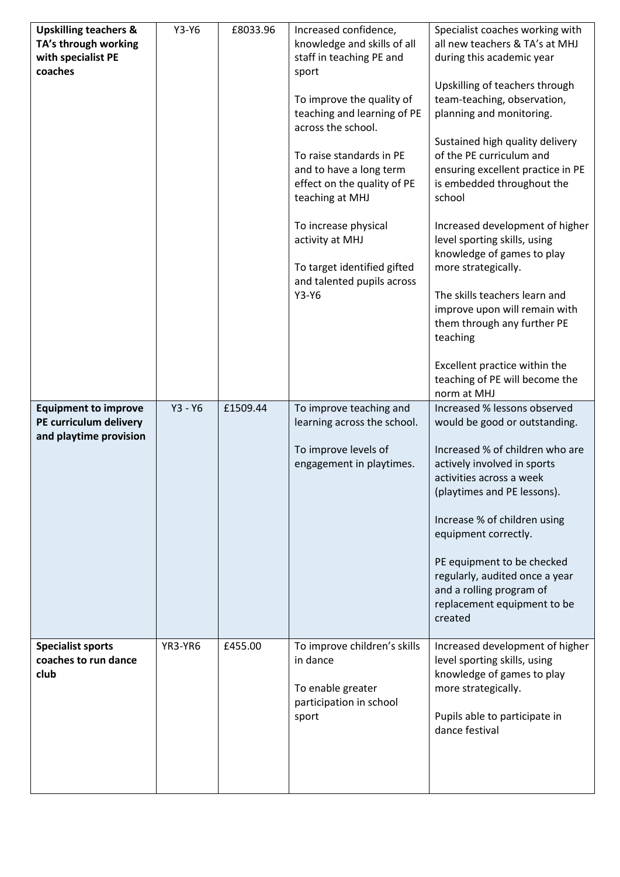| <b>Upskilling teachers &amp;</b><br>TA's through working<br>with specialist PE<br>coaches | $Y3-Y6$   | £8033.96 | Increased confidence,<br>knowledge and skills of all<br>staff in teaching PE and<br>sport<br>To improve the quality of<br>teaching and learning of PE<br>across the school.<br>To raise standards in PE<br>and to have a long term<br>effect on the quality of PE<br>teaching at MHJ<br>To increase physical<br>activity at MHJ<br>To target identified gifted<br>and talented pupils across<br>$Y3-Y6$ | Specialist coaches working with<br>all new teachers & TA's at MHJ<br>during this academic year<br>Upskilling of teachers through<br>team-teaching, observation,<br>planning and monitoring.<br>Sustained high quality delivery<br>of the PE curriculum and<br>ensuring excellent practice in PE<br>is embedded throughout the<br>school<br>Increased development of higher<br>level sporting skills, using<br>knowledge of games to play<br>more strategically.<br>The skills teachers learn and<br>improve upon will remain with<br>them through any further PE<br>teaching<br>Excellent practice within the<br>teaching of PE will become the |
|-------------------------------------------------------------------------------------------|-----------|----------|---------------------------------------------------------------------------------------------------------------------------------------------------------------------------------------------------------------------------------------------------------------------------------------------------------------------------------------------------------------------------------------------------------|-------------------------------------------------------------------------------------------------------------------------------------------------------------------------------------------------------------------------------------------------------------------------------------------------------------------------------------------------------------------------------------------------------------------------------------------------------------------------------------------------------------------------------------------------------------------------------------------------------------------------------------------------|
| <b>Equipment to improve</b><br>PE curriculum delivery<br>and playtime provision           | $Y3 - Y6$ | £1509.44 | To improve teaching and<br>learning across the school.<br>To improve levels of<br>engagement in playtimes.                                                                                                                                                                                                                                                                                              | norm at MHJ<br>Increased % lessons observed<br>would be good or outstanding.<br>Increased % of children who are<br>actively involved in sports<br>activities across a week<br>(playtimes and PE lessons).<br>Increase % of children using<br>equipment correctly.<br>PE equipment to be checked<br>regularly, audited once a year<br>and a rolling program of                                                                                                                                                                                                                                                                                   |
| <b>Specialist sports</b><br>coaches to run dance<br>club                                  | YR3-YR6   | £455.00  | To improve children's skills<br>in dance<br>To enable greater<br>participation in school<br>sport                                                                                                                                                                                                                                                                                                       | replacement equipment to be<br>created<br>Increased development of higher<br>level sporting skills, using<br>knowledge of games to play<br>more strategically.<br>Pupils able to participate in<br>dance festival                                                                                                                                                                                                                                                                                                                                                                                                                               |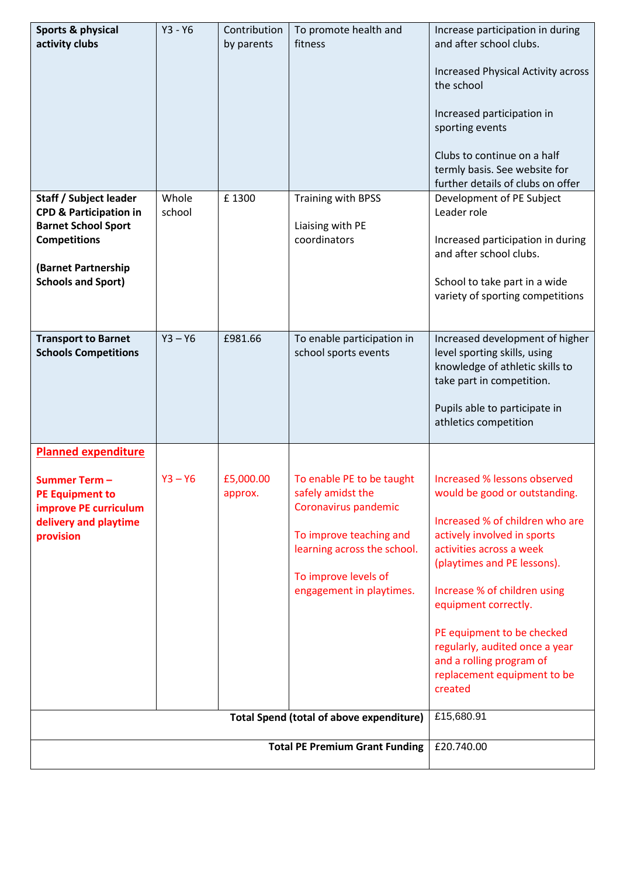| Sports & physical                                                                                            | $Y3 - Y6$       | Contribution         | To promote health and                                                                                                                                                                                                                   | Increase participation in during                                                                                                                                                                                                                                                                                                                                                         |
|--------------------------------------------------------------------------------------------------------------|-----------------|----------------------|-----------------------------------------------------------------------------------------------------------------------------------------------------------------------------------------------------------------------------------------|------------------------------------------------------------------------------------------------------------------------------------------------------------------------------------------------------------------------------------------------------------------------------------------------------------------------------------------------------------------------------------------|
| activity clubs                                                                                               |                 | by parents           | fitness                                                                                                                                                                                                                                 | and after school clubs.                                                                                                                                                                                                                                                                                                                                                                  |
|                                                                                                              |                 |                      |                                                                                                                                                                                                                                         | Increased Physical Activity across<br>the school                                                                                                                                                                                                                                                                                                                                         |
|                                                                                                              |                 |                      |                                                                                                                                                                                                                                         | Increased participation in<br>sporting events                                                                                                                                                                                                                                                                                                                                            |
|                                                                                                              |                 |                      |                                                                                                                                                                                                                                         | Clubs to continue on a half<br>termly basis. See website for<br>further details of clubs on offer                                                                                                                                                                                                                                                                                        |
| Staff / Subject leader<br><b>CPD &amp; Participation in</b>                                                  | Whole<br>school | £1300                | Training with BPSS                                                                                                                                                                                                                      | Development of PE Subject<br>Leader role                                                                                                                                                                                                                                                                                                                                                 |
| <b>Barnet School Sport</b><br><b>Competitions</b>                                                            |                 |                      | Liaising with PE<br>coordinators                                                                                                                                                                                                        | Increased participation in during<br>and after school clubs.                                                                                                                                                                                                                                                                                                                             |
| (Barnet Partnership<br><b>Schools and Sport)</b>                                                             |                 |                      |                                                                                                                                                                                                                                         | School to take part in a wide<br>variety of sporting competitions                                                                                                                                                                                                                                                                                                                        |
| <b>Transport to Barnet</b><br><b>Schools Competitions</b>                                                    | $Y3 - Y6$       | £981.66              | To enable participation in<br>school sports events                                                                                                                                                                                      | Increased development of higher<br>level sporting skills, using<br>knowledge of athletic skills to<br>take part in competition.<br>Pupils able to participate in<br>athletics competition                                                                                                                                                                                                |
| <b>Planned expenditure</b>                                                                                   |                 |                      |                                                                                                                                                                                                                                         |                                                                                                                                                                                                                                                                                                                                                                                          |
| <b>Summer Term-</b><br><b>PE Equipment to</b><br>improve PE curriculum<br>delivery and playtime<br>provision | $Y3 - Y6$       | £5,000.00<br>approx. | To enable PE to be taught<br>safely amidst the<br>Coronavirus pandemic<br>To improve teaching and<br>learning across the school.<br>To improve levels of<br>engagement in playtimes.<br><b>Total Spend (total of above expenditure)</b> | Increased % lessons observed<br>would be good or outstanding.<br>Increased % of children who are<br>actively involved in sports<br>activities across a week<br>(playtimes and PE lessons).<br>Increase % of children using<br>equipment correctly.<br>PE equipment to be checked<br>regularly, audited once a year<br>and a rolling program of<br>replacement equipment to be<br>created |
|                                                                                                              | £15,680.91      |                      |                                                                                                                                                                                                                                         |                                                                                                                                                                                                                                                                                                                                                                                          |
|                                                                                                              | £20.740.00      |                      |                                                                                                                                                                                                                                         |                                                                                                                                                                                                                                                                                                                                                                                          |